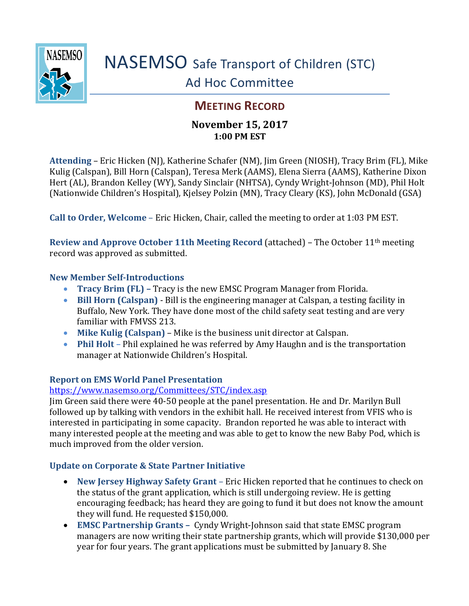

# **MEETING RECORD**

## **November 15, 2017 1:00 PM EST**

**Attending** – Eric Hicken (NJ), Katherine Schafer (NM), Jim Green (NIOSH), Tracy Brim (FL), Mike Kulig (Calspan), Bill Horn (Calspan), Teresa Merk (AAMS), Elena Sierra (AAMS), Katherine Dixon Hert (AL), Brandon Kelley (WY), Sandy Sinclair (NHTSA), Cyndy Wright-Johnson (MD), Phil Holt (Nationwide Children's Hospital), Kjelsey Polzin (MN), Tracy Cleary (KS), John McDonald (GSA)

**Call to Order, Welcome** – Eric Hicken, Chair, called the meeting to order at 1:03 PM EST.

**Review and Approve October 11th Meeting Record** (attached) – The October 11th meeting record was approved as submitted.

#### **New Member Self-Introductions**

- **Tracy Brim (FL) –** Tracy is the new EMSC Program Manager from Florida.
- **Bill Horn (Calspan)** Bill is the engineering manager at Calspan, a testing facility in Buffalo, New York. They have done most of the child safety seat testing and are very familiar with FMVSS 213.
- **Mike Kulig (Calspan)** Mike is the business unit director at Calspan.
- **Phil Holt –** Phil explained he was referred by Amy Haughn and is the transportation manager at Nationwide Children's Hospital.

### **Report on EMS World Panel Presentation**

### <https://www.nasemso.org/Committees/STC/index.asp>

Jim Green said there were 40-50 people at the panel presentation. He and Dr. Marilyn Bull followed up by talking with vendors in the exhibit hall. He received interest from VFIS who is interested in participating in some capacity. Brandon reported he was able to interact with many interested people at the meeting and was able to get to know the new Baby Pod, which is much improved from the older version.

### **Update on Corporate & State Partner Initiative**

- **New Jersey Highway Safety Grant** Eric Hicken reported that he continues to check on the status of the grant application, which is still undergoing review. He is getting encouraging feedback; has heard they are going to fund it but does not know the amount they will fund. He requested \$150,000.
- **EMSC Partnership Grants –** Cyndy Wright-Johnson said that state EMSC program managers are now writing their state partnership grants, which will provide \$130,000 per year for four years. The grant applications must be submitted by January 8. She